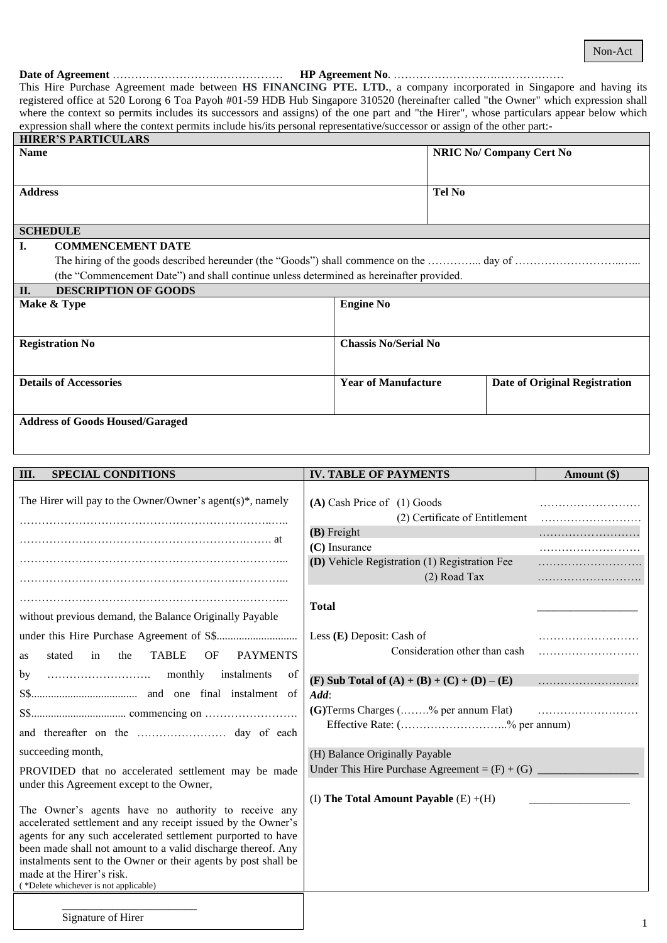#### **Date of Agreement** ……………………….……………… **HP Agreement No**. ……………………….………………

This Hire Purchase Agreement made between **HS FINANCING PTE. LTD.**, a company incorporated in Singapore and having its registered office at 520 Lorong 6 Toa Payoh #01-59 HDB Hub Singapore 310520 (hereinafter called "the Owner" which expression shall where the context so permits includes its successors and assigns) of the one part and "the Hirer", whose particulars appear below which expression shall where the context permits include his/its personal representative/successor or assign of the other part:-

| <b>HIRER'S PARTICULARS</b>                                                              |                             |                                      |  |  |
|-----------------------------------------------------------------------------------------|-----------------------------|--------------------------------------|--|--|
| <b>Name</b>                                                                             |                             | <b>NRIC No/ Company Cert No</b>      |  |  |
|                                                                                         |                             |                                      |  |  |
|                                                                                         |                             |                                      |  |  |
| <b>Address</b>                                                                          |                             | Tel No                               |  |  |
|                                                                                         |                             |                                      |  |  |
| <b>SCHEDULE</b>                                                                         |                             |                                      |  |  |
| <b>COMMENCEMENT DATE</b><br>L.                                                          |                             |                                      |  |  |
|                                                                                         |                             |                                      |  |  |
| (the "Commencement Date") and shall continue unless determined as hereinafter provided. |                             |                                      |  |  |
| <b>DESCRIPTION OF GOODS</b><br>II.                                                      |                             |                                      |  |  |
| Make & Type                                                                             | <b>Engine No</b>            |                                      |  |  |
|                                                                                         |                             |                                      |  |  |
|                                                                                         |                             |                                      |  |  |
| <b>Registration No</b>                                                                  | <b>Chassis No/Serial No</b> |                                      |  |  |
|                                                                                         |                             |                                      |  |  |
| <b>Details of Accessories</b>                                                           | <b>Year of Manufacture</b>  | <b>Date of Original Registration</b> |  |  |
|                                                                                         |                             |                                      |  |  |
|                                                                                         |                             |                                      |  |  |
| <b>Address of Goods Housed/Garaged</b>                                                  |                             |                                      |  |  |

| III.<br><b>SPECIAL CONDITIONS</b>                                                                                                                                                                                                                                                                                                                                                           | <b>IV. TABLE OF PAYMENTS</b>                                      | Amount (\$) |
|---------------------------------------------------------------------------------------------------------------------------------------------------------------------------------------------------------------------------------------------------------------------------------------------------------------------------------------------------------------------------------------------|-------------------------------------------------------------------|-------------|
| The Hirer will pay to the Owner/Owner's agent(s)*, namely                                                                                                                                                                                                                                                                                                                                   | $(A)$ Cash Price of $(1)$ Goods<br>(2) Certificate of Entitlement |             |
|                                                                                                                                                                                                                                                                                                                                                                                             | (B) Freight                                                       |             |
|                                                                                                                                                                                                                                                                                                                                                                                             | $(C)$ Insurance                                                   |             |
|                                                                                                                                                                                                                                                                                                                                                                                             | (D) Vehicle Registration (1) Registration Fee                     |             |
|                                                                                                                                                                                                                                                                                                                                                                                             | (2) Road Tax                                                      |             |
|                                                                                                                                                                                                                                                                                                                                                                                             |                                                                   |             |
|                                                                                                                                                                                                                                                                                                                                                                                             | <b>Total</b>                                                      |             |
| without previous demand, the Balance Originally Payable                                                                                                                                                                                                                                                                                                                                     |                                                                   |             |
|                                                                                                                                                                                                                                                                                                                                                                                             | Less (E) Deposit: Cash of                                         |             |
| <b>TABLE</b><br>stated<br><b>OF</b><br><b>PAYMENTS</b><br>in<br>the<br><b>as</b>                                                                                                                                                                                                                                                                                                            | Consideration other than cash                                     |             |
|                                                                                                                                                                                                                                                                                                                                                                                             |                                                                   |             |
| instalments<br>of<br>by                                                                                                                                                                                                                                                                                                                                                                     | (F) Sub Total of $(A) + (B) + (C) + (D) - (E)$                    |             |
|                                                                                                                                                                                                                                                                                                                                                                                             | Add:                                                              |             |
|                                                                                                                                                                                                                                                                                                                                                                                             | (G) Terms Charges (% per annum Flat)                              |             |
|                                                                                                                                                                                                                                                                                                                                                                                             | Effective Rate: (% per annum)                                     |             |
| succeeding month,                                                                                                                                                                                                                                                                                                                                                                           | (H) Balance Originally Payable                                    |             |
| PROVIDED that no accelerated settlement may be made                                                                                                                                                                                                                                                                                                                                         | Under This Hire Purchase Agreement = $(F) + (G)$ ______           |             |
| under this Agreement except to the Owner,                                                                                                                                                                                                                                                                                                                                                   |                                                                   |             |
|                                                                                                                                                                                                                                                                                                                                                                                             | (I) The Total Amount Payable $(E) + (H)$                          |             |
| The Owner's agents have no authority to receive any<br>accelerated settlement and any receipt issued by the Owner's<br>agents for any such accelerated settlement purported to have<br>been made shall not amount to a valid discharge thereof. Any<br>instalments sent to the Owner or their agents by post shall be<br>made at the Hirer's risk.<br>(*Delete whichever is not applicable) |                                                                   |             |
| Signature of Hirer                                                                                                                                                                                                                                                                                                                                                                          |                                                                   |             |